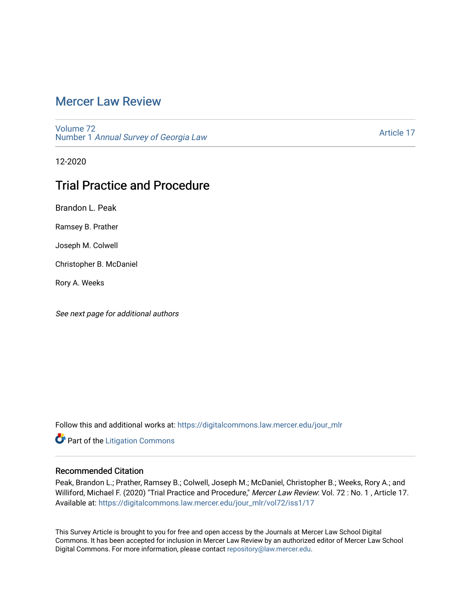# [Mercer Law Review](https://digitalcommons.law.mercer.edu/jour_mlr)

[Volume 72](https://digitalcommons.law.mercer.edu/jour_mlr/vol72) Number 1 [Annual Survey of Georgia Law](https://digitalcommons.law.mercer.edu/jour_mlr/vol72/iss1) 

[Article 17](https://digitalcommons.law.mercer.edu/jour_mlr/vol72/iss1/17) 

12-2020

# Trial Practice and Procedure

Brandon L. Peak

Ramsey B. Prather

Joseph M. Colwell

Christopher B. McDaniel

Rory A. Weeks

See next page for additional authors

Follow this and additional works at: [https://digitalcommons.law.mercer.edu/jour\\_mlr](https://digitalcommons.law.mercer.edu/jour_mlr?utm_source=digitalcommons.law.mercer.edu%2Fjour_mlr%2Fvol72%2Fiss1%2F17&utm_medium=PDF&utm_campaign=PDFCoverPages)

**Part of the [Litigation Commons](http://network.bepress.com/hgg/discipline/910?utm_source=digitalcommons.law.mercer.edu%2Fjour_mlr%2Fvol72%2Fiss1%2F17&utm_medium=PDF&utm_campaign=PDFCoverPages)** 

## Recommended Citation

Peak, Brandon L.; Prather, Ramsey B.; Colwell, Joseph M.; McDaniel, Christopher B.; Weeks, Rory A.; and Williford, Michael F. (2020) "Trial Practice and Procedure," Mercer Law Review: Vol. 72 : No. 1 , Article 17. Available at: [https://digitalcommons.law.mercer.edu/jour\\_mlr/vol72/iss1/17](https://digitalcommons.law.mercer.edu/jour_mlr/vol72/iss1/17?utm_source=digitalcommons.law.mercer.edu%2Fjour_mlr%2Fvol72%2Fiss1%2F17&utm_medium=PDF&utm_campaign=PDFCoverPages) 

This Survey Article is brought to you for free and open access by the Journals at Mercer Law School Digital Commons. It has been accepted for inclusion in Mercer Law Review by an authorized editor of Mercer Law School Digital Commons. For more information, please contact [repository@law.mercer.edu](mailto:repository@law.mercer.edu).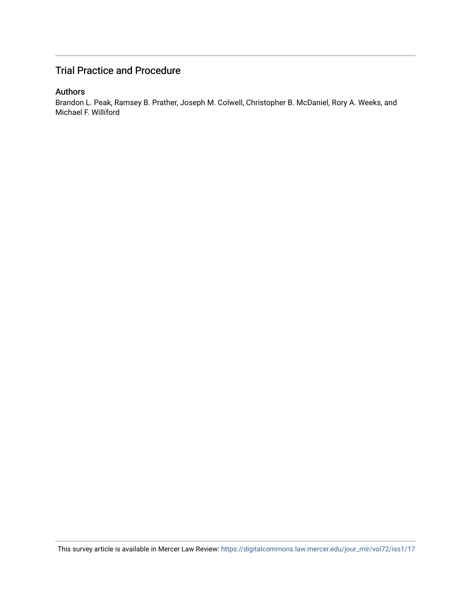# Trial Practice and Procedure

# Authors

Brandon L. Peak, Ramsey B. Prather, Joseph M. Colwell, Christopher B. McDaniel, Rory A. Weeks, and Michael F. Williford

This survey article is available in Mercer Law Review: [https://digitalcommons.law.mercer.edu/jour\\_mlr/vol72/iss1/17](https://digitalcommons.law.mercer.edu/jour_mlr/vol72/iss1/17)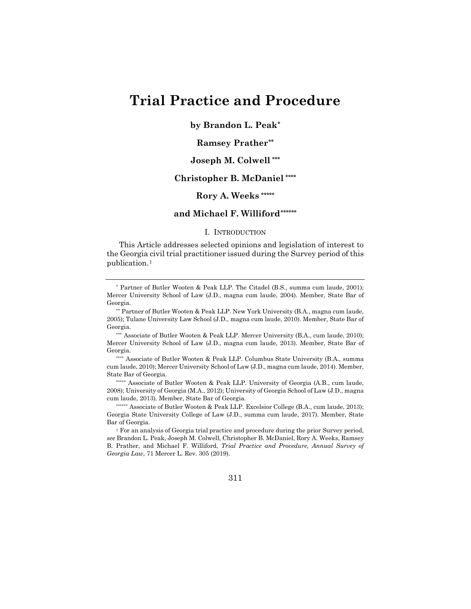# **Trial Practice and Procedure**

**by Brandon L. Peak[\\*](#page-2-0)**

## **Ramsey Prather[\\*\\*](#page-2-1)**

# **Joseph M. Colwell [\\*\\*\\*](#page-2-2)**

# **Christopher B. McDaniel [\\*\\*\\*\\*](#page-2-3)**

# **Rory A. Weeks [\\*\\*\\*\\*\\*](#page-2-4)**

## **and Michael F. Williford[\\*\\*\\*\\*\\*\\*](#page-2-5)**

### I. INTRODUCTION

This Article addresses selected opinions and legislation of interest to the Georgia civil trial practitioner issued during the Survey period of this publication.[1](#page-2-6)

<span id="page-2-2"></span>\*\*\* Associate of Butler Wooten & Peak LLP. Mercer University (B.A., cum laude, 2010); Mercer University School of Law (J.D., magna cum laude, 2013). Member, State Bar of Georgia.

<span id="page-2-3"></span>\*\*\*\* Associate of Butler Wooten & Peak LLP. Columbus State University (B.A., summa cum laude, 2010); Mercer University School of Law (J.D., magna cum laude, 2014). Member, State Bar of Georgia.

<span id="page-2-4"></span>\*\*\*\*\* Associate of Butler Wooten & Peak LLP. University of Georgia (A.B., cum laude, 2008); University of Georgia (M.A., 2012); University of Georgia School of Law (J.D., magna cum laude, 2013). Member, State Bar of Georgia.

<span id="page-2-5"></span>\*\*\*\*\*\* Associate of Butler Wooten & Peak LLP. Excelsior College (B.A., cum laude, 2013); Georgia State University College of Law (J.D., summa cum laude, 2017). Member, State Bar of Georgia.

<span id="page-2-6"></span> $1$  For an analysis of Georgia trial practice and procedure during the prior Survey period, *see* Brandon L. Peak, Joseph M. Colwell, Christopher B. McDaniel, Rory A. Weeks, Ramsey B. Prather, and Michael F. Williford, *Trial Practice and Procedure, Annual Survey of Georgia Law*, 71 Mercer L. Rev. 305 (2019).

311

<span id="page-2-0"></span><sup>\*</sup> Partner of Butler Wooten & Peak LLP. The Citadel (B.S., summa cum laude, 2001); Mercer University School of Law (J.D., magna cum laude, 2004). Member, State Bar of Georgia.

<span id="page-2-1"></span><sup>\*\*</sup> Partner of Butler Wooten & Peak LLP. New York University (B.A., magna cum laude, 2005); Tulane University Law School (J.D., magna cum laude, 2010). Member, State Bar of Georgia.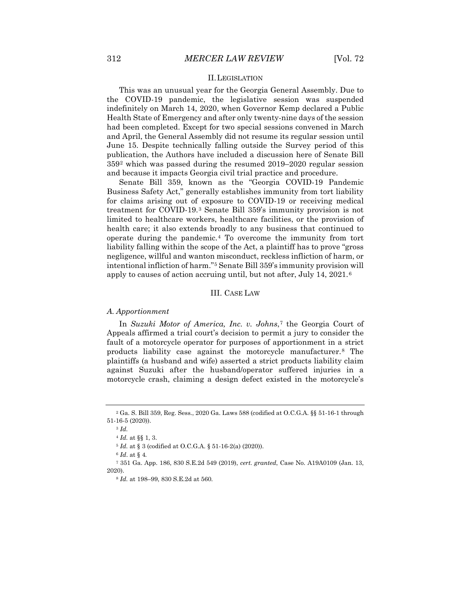#### II.LEGISLATION

This was an unusual year for the Georgia General Assembly. Due to the COVID-19 pandemic, the legislative session was suspended indefinitely on March 14, 2020, when Governor Kemp declared a Public Health State of Emergency and after only twenty-nine days of the session had been completed. Except for two special sessions convened in March and April, the General Assembly did not resume its regular session until June 15. Despite technically falling outside the Survey period of this publication, the Authors have included a discussion here of Senate Bill 359[2](#page-3-0) which was passed during the resumed 2019–2020 regular session and because it impacts Georgia civil trial practice and procedure.

Senate Bill 359, known as the "Georgia COVID-19 Pandemic Business Safety Act," generally establishes immunity from tort liability for claims arising out of exposure to COVID-19 or receiving medical treatment for COVID-19.[3](#page-3-1) Senate Bill 359's immunity provision is not limited to healthcare workers, healthcare facilities, or the provision of health care; it also extends broadly to any business that continued to operate during the pandemic.[4](#page-3-2) To overcome the immunity from tort liability falling within the scope of the Act, a plaintiff has to prove "gross negligence, willful and wanton misconduct, reckless infliction of harm, or intentional infliction of harm."[5](#page-3-3) Senate Bill 359's immunity provision will apply to causes of action accruing until, but not after, July 14, 2021.[6](#page-3-4)

#### III. CASE LAW

#### *A. Apportionment*

In *Suzuki Motor of America, Inc. v. Johns*,[7](#page-3-5) the Georgia Court of Appeals affirmed a trial court's decision to permit a jury to consider the fault of a motorcycle operator for purposes of apportionment in a strict products liability case against the motorcycle manufacturer.[8](#page-3-6) The plaintiffs (a husband and wife) asserted a strict products liability claim against Suzuki after the husband/operator suffered injuries in a motorcycle crash, claiming a design defect existed in the motorcycle's

<span id="page-3-2"></span><span id="page-3-1"></span><span id="page-3-0"></span><sup>2</sup> Ga. S. Bill 359, Reg. Sess., 2020 Ga. Laws 588 (codified at O.C.G.A. §§ 51-16-1 through 51-16-5 (2020)).

<sup>3</sup> *Id.*

<sup>4</sup> *Id.* at §§ 1, 3.

<sup>5</sup> *Id.* at § 3 (codified at O.C.G.A. § 51-16-2(a) (2020)).

<sup>6</sup> *Id*. at § 4*.*

<span id="page-3-6"></span><span id="page-3-5"></span><span id="page-3-4"></span><span id="page-3-3"></span><sup>7</sup> 351 Ga. App. 186, 830 S.E.2d 549 (2019), *cert. granted*, Case No. A19A0109 (Jan. 13, 2020).

<sup>8</sup> *Id.* at 198–99, 830 S.E.2d at 560.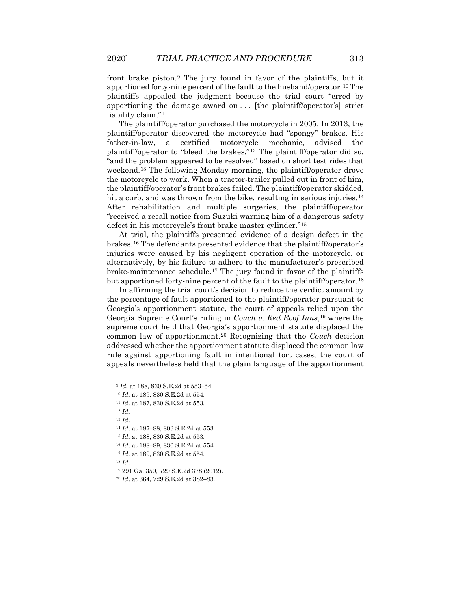front brake piston.[9](#page-4-0) The jury found in favor of the plaintiffs, but it apportioned forty-nine percent of the fault to the husband/operator.[10](#page-4-1) The plaintiffs appealed the judgment because the trial court "erred by apportioning the damage award on . . . [the plaintiff/operator's] strict liability claim."[11](#page-4-2)

The plaintiff/operator purchased the motorcycle in 2005. In 2013, the plaintiff/operator discovered the motorcycle had "spongy" brakes. His father-in-law, a certified motorcycle mechanic, advised the plaintiff/operator to "bleed the brakes."[12](#page-4-3) The plaintiff/operator did so, "and the problem appeared to be resolved" based on short test rides that weekend.[13](#page-4-4) The following Monday morning, the plaintiff/operator drove the motorcycle to work. When a tractor-trailer pulled out in front of him, the plaintiff/operator's front brakes failed. The plaintiff/operator skidded, hit a curb, and was thrown from the bike, resulting in serious injuries.<sup>[14](#page-4-5)</sup> After rehabilitation and multiple surgeries, the plaintiff/operator "received a recall notice from Suzuki warning him of a dangerous safety defect in his motorcycle's front brake master cylinder."[15](#page-4-6)

At trial, the plaintiffs presented evidence of a design defect in the brakes.[16](#page-4-7) The defendants presented evidence that the plaintiff/operator's injuries were caused by his negligent operation of the motorcycle, or alternatively, by his failure to adhere to the manufacturer's prescribed brake-maintenance schedule.[17](#page-4-8) The jury found in favor of the plaintiffs but apportioned forty-nine percent of the fault to the plaintiff/operator.[18](#page-4-9)

In affirming the trial court's decision to reduce the verdict amount by the percentage of fault apportioned to the plaintiff/operator pursuant to Georgia's apportionment statute, the court of appeals relied upon the Georgia Supreme Court's ruling in *Couch v. Red Roof Inns*,[19](#page-4-10) where the supreme court held that Georgia's apportionment statute displaced the common law of apportionment.[20](#page-4-11) Recognizing that the *Couch* decision addressed whether the apportionment statute displaced the common law rule against apportioning fault in intentional tort cases, the court of appeals nevertheless held that the plain language of the apportionment

<span id="page-4-3"></span><sup>12</sup> *Id.*

<span id="page-4-4"></span><sup>13</sup> *Id.*

- <sup>15</sup> *Id.* at 188, 830 S.E.2d at 553.
- <sup>16</sup> *Id*. at 188–89, 830 S.E.2d at 554.
- <sup>17</sup> *Id.* at 189, 830 S.E.2d at 554.

<span id="page-4-11"></span><span id="page-4-10"></span><span id="page-4-9"></span><span id="page-4-8"></span><span id="page-4-7"></span><sup>18</sup> *Id.*

<sup>19</sup> 291 Ga. 359, 729 S.E.2d 378 (2012).

<sup>9</sup> *Id.* at 188, 830 S.E.2d at 553–54.

<span id="page-4-2"></span><span id="page-4-1"></span><span id="page-4-0"></span><sup>10</sup> *Id.* at 189, 830 S.E.2d at 554.

<sup>11</sup> *Id.* at 187, 830 S.E.2d at 553.

<span id="page-4-6"></span><span id="page-4-5"></span><sup>14</sup> *Id*. at 187–88, 803 S.E.2d at 553.

<sup>20</sup> *Id*. at 364, 729 S.E.2d at 382–83.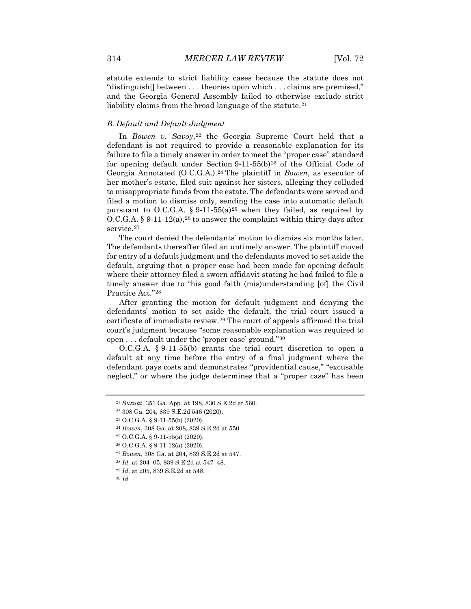statute extends to strict liability cases because the statute does not "distinguish[] between . . . theories upon which . . . claims are premised," and the Georgia General Assembly failed to otherwise exclude strict liability claims from the broad language of the statute.<sup>[21](#page-5-0)</sup>

#### *B. Default and Default Judgment*

In *Bowen v. Savoy*,<sup>[22](#page-5-1)</sup> the Georgia Supreme Court held that a defendant is not required to provide a reasonable explanation for its failure to file a timely answer in order to meet the "proper case" standard for opening default under Section  $9-11-55(b)^{23}$  $9-11-55(b)^{23}$  $9-11-55(b)^{23}$  of the Official Code of Georgia Annotated (O.C.G.A.).[24](#page-5-3) The plaintiff in *Bowen*, as executor of her mother's estate, filed suit against her sisters, alleging they colluded to misappropriate funds from the estate. The defendants were served and filed a motion to dismiss only, sending the case into automatic default pursuant to O.C.G.A. § 9-11-55(a)<sup>[25](#page-5-4)</sup> when they failed, as required by O.C.G.A. § 9-11-12(a),<sup>[26](#page-5-5)</sup> to answer the complaint within thirty days after service.<sup>[27](#page-5-6)</sup>

The court denied the defendants' motion to dismiss six months later. The defendants thereafter filed an untimely answer. The plaintiff moved for entry of a default judgment and the defendants moved to set aside the default, arguing that a proper case had been made for opening default where their attorney filed a sworn affidavit stating he had failed to file a timely answer due to "his good faith (mis)understanding [of] the Civil Practice Act."[28](#page-5-7)

After granting the motion for default judgment and denying the defendants' motion to set aside the default, the trial court issued a certificate of immediate review.[29](#page-5-8) The court of appeals affirmed the trial court's judgment because "some reasonable explanation was required to open . . . default under the 'proper case' ground."[30](#page-5-9)

O.C.G.A. § 9-11-55(b) grants the trial court discretion to open a default at any time before the entry of a final judgment where the defendant pays costs and demonstrates "providential cause," "excusable neglect," or where the judge determines that a "proper case" has been

<span id="page-5-0"></span><sup>21</sup> *Suzuki*, 351 Ga. App. at 198, 830 S.E.2d at 560.

<span id="page-5-1"></span><sup>22</sup> 308 Ga. 204, 839 S.E.2d 546 (2020).

<span id="page-5-2"></span><sup>23</sup> O.C.G.A. § 9-11-55(b) (2020).

<span id="page-5-4"></span><span id="page-5-3"></span><sup>24</sup> *Bowen*, 308 Ga. at 208, 839 S.E.2d at 550.

<sup>25</sup> O.C.G.A. § 9-11-55(a) (2020).

<sup>26</sup> O.C.G.A. § 9-11-12(a) (2020).

<span id="page-5-6"></span><span id="page-5-5"></span><sup>27</sup> *Bowen*, 308 Ga. at 204, 839 S.E.2d at 547.

<span id="page-5-7"></span><sup>28</sup> *Id.* at 204–05, 839 S.E.2d at 547–48.

<span id="page-5-8"></span><sup>29</sup> *Id*. at 205, 839 S.E.2d at 548.

<span id="page-5-9"></span><sup>30</sup> *Id.*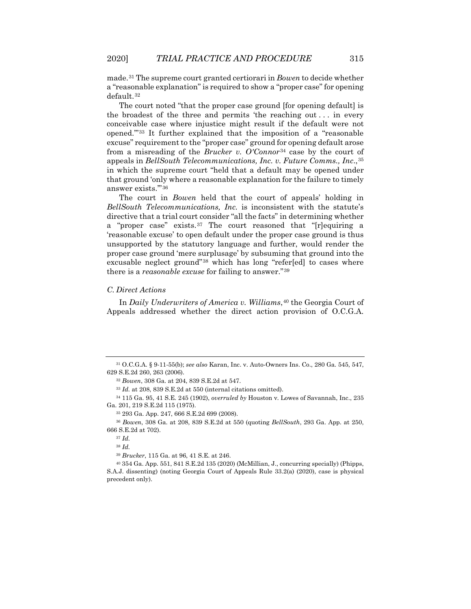made.[31](#page-6-0) The supreme court granted certiorari in *Bowen* to decide whether a "reasonable explanation" is required to show a "proper case" for opening default.[32](#page-6-1)

The court noted "that the proper case ground [for opening default] is the broadest of the three and permits 'the reaching out  $\dots$  in every conceivable case where injustice might result if the default were not opened.'"[33](#page-6-2) It further explained that the imposition of a "reasonable excuse" requirement to the "proper case" ground for opening default arose from a misreading of the *Brucker v. O'Connor*[34](#page-6-3) case by the court of appeals in *BellSouth Telecommunications, Inc. v. Future Comms., Inc*.,[35](#page-6-4) in which the supreme court "held that a default may be opened under that ground 'only where a reasonable explanation for the failure to timely answer exists.'"[36](#page-6-5)

The court in *Bowen* held that the court of appeals' holding in *BellSouth Telecommunications, Inc.* is inconsistent with the statute's directive that a trial court consider "all the facts" in determining whether a "proper case" exists.[37](#page-6-6) The court reasoned that "[r]equiring a 'reasonable excuse' to open default under the proper case ground is thus unsupported by the statutory language and further, would render the proper case ground 'mere surplusage' by subsuming that ground into the excusable neglect ground"[38](#page-6-7) which has long "refer[ed] to cases where there is a *reasonable excuse* for failing to answer."[39](#page-6-8)

#### *C. Direct Actions*

In *Daily Underwriters of America v. Williams*,<sup>[40](#page-6-9)</sup> the Georgia Court of Appeals addressed whether the direct action provision of O.C.G.A.

<span id="page-6-3"></span><span id="page-6-2"></span><sup>34</sup> 115 Ga. 95, 41 S.E. 245 (1902), *overruled by* Houston v. Lowes of Savannah, Inc., 235 Ga. 201, 219 S.E.2d 115 (1975).

<sup>35</sup> 293 Ga. App. 247, 666 S.E.2d 699 (2008).

<span id="page-6-6"></span><span id="page-6-5"></span><span id="page-6-4"></span><sup>36</sup> *Bowen*, 308 Ga. at 208, 839 S.E.2d at 550 (quoting *BellSouth*, 293 Ga. App. at 250, 666 S.E.2d at 702).

<sup>39</sup> *Brucker*, 115 Ga. at 96, 41 S.E. at 246.

<span id="page-6-9"></span><span id="page-6-8"></span><span id="page-6-7"></span> $40\,354$  Ga. App. 551, 841 S.E.2d 135 (2020) (McMillian, J., concurring specially) (Phipps, S.A.J. dissenting) (noting Georgia Court of Appeals Rule 33.2(a) (2020), case is physical precedent only).

<span id="page-6-1"></span><span id="page-6-0"></span><sup>31</sup> O.C.G.A. § 9-11-55(b); *see also* Karan, Inc. v. Auto-Owners Ins. Co., 280 Ga. 545, 547, 629 S.E.2d 260, 263 (2006).

<sup>32</sup> *Bowen*, 308 Ga. at 204, 839 S.E.2d at 547.

<sup>33</sup> *Id.* at 208, 839 S.E.2d at 550 (internal citations omitted).

<sup>37</sup> *Id.*

<sup>38</sup> *Id.*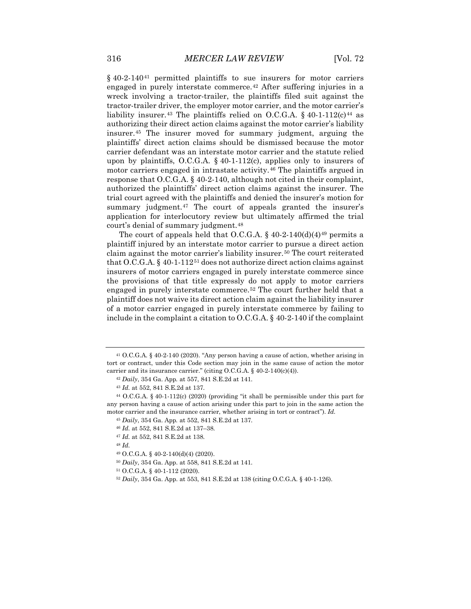§ 40-2-140<sup>[41](#page-7-0)</sup> permitted plaintiffs to sue insurers for motor carriers engaged in purely interstate commerce.[42](#page-7-1) After suffering injuries in a wreck involving a tractor-trailer, the plaintiffs filed suit against the tractor-trailer driver, the employer motor carrier, and the motor carrier's liability insurer.<sup>[43](#page-7-2)</sup> The plaintiffs relied on O.C.G.A. § 40-1-112(c)<sup>[44](#page-7-3)</sup> as authorizing their direct action claims against the motor carrier's liability insurer.[45](#page-7-4) The insurer moved for summary judgment, arguing the plaintiffs' direct action claims should be dismissed because the motor carrier defendant was an interstate motor carrier and the statute relied upon by plaintiffs, O.C.G.A. § 40-1-112(c), applies only to insurers of motor carriers engaged in intrastate activity.[46](#page-7-5) The plaintiffs argued in response that O.C.G.A. § 40-2-140, although not cited in their complaint, authorized the plaintiffs' direct action claims against the insurer. The trial court agreed with the plaintiffs and denied the insurer's motion for summary judgment.<sup>[47](#page-7-6)</sup> The court of appeals granted the insurer's application for interlocutory review but ultimately affirmed the trial court's denial of summary judgment.<sup>[48](#page-7-7)</sup>

The court of appeals held that O.C.G.A.  $\S$  40-2-140(d)(4)<sup>[49](#page-7-8)</sup> permits a plaintiff injured by an interstate motor carrier to pursue a direct action claim against the motor carrier's liability insurer.<sup>[50](#page-7-9)</sup> The court reiterated that O.C.G.A. § 40-1-112<sup>[51](#page-7-10)</sup> does not authorize direct action claims against insurers of motor carriers engaged in purely interstate commerce since the provisions of that title expressly do not apply to motor carriers engaged in purely interstate commerce.<sup>[52](#page-7-11)</sup> The court further held that a plaintiff does not waive its direct action claim against the liability insurer of a motor carrier engaged in purely interstate commerce by failing to include in the complaint a citation to O.C.G.A. § 40-2-140 if the complaint

<span id="page-7-8"></span><sup>48</sup> *Id.*

- <sup>50</sup> *Daily*, 354 Ga. App. at 558, 841 S.E.2d at 141.
- <span id="page-7-11"></span><span id="page-7-10"></span><span id="page-7-9"></span><sup>51</sup> O.C.G.A. § 40-1-112 (2020).

<span id="page-7-0"></span><sup>41</sup> O.C.G.A. § 40-2-140 (2020). "Any person having a cause of action, whether arising in tort or contract, under this Code section may join in the same cause of action the motor carrier and its insurance carrier." (citing O.C.G.A. § 40-2-140(c)(4)).

<sup>42</sup> *Daily*, 354 Ga. App*.* at 557, 841 S.E.2d at 141.

<sup>43</sup> *Id.* at 552, 841 S.E.2d at 137.

<span id="page-7-6"></span><span id="page-7-5"></span><span id="page-7-4"></span><span id="page-7-3"></span><span id="page-7-2"></span><span id="page-7-1"></span><sup>44</sup> O.C.G.A. § 40-1-112(c) (2020) (providing "it shall be permissible under this part for any person having a cause of action arising under this part to join in the same action the motor carrier and the insurance carrier, whether arising in tort or contract"). *Id.*

<sup>45</sup> *Daily*, 354 Ga. App*.* at 552, 841 S.E.2d at 137.

<sup>46</sup> *Id.* at 552, 841 S.E.2d at 137–38.

<span id="page-7-7"></span><sup>47</sup> *Id.* at 552, 841 S.E.2d at 138.

<sup>49</sup> O.C.G.A. § 40-2-140(d)(4) (2020).

<sup>52</sup> *Daily*, 354 Ga. App. at 553, 841 S.E.2d at 138 (citing O.C.G.A. § 40-1-126).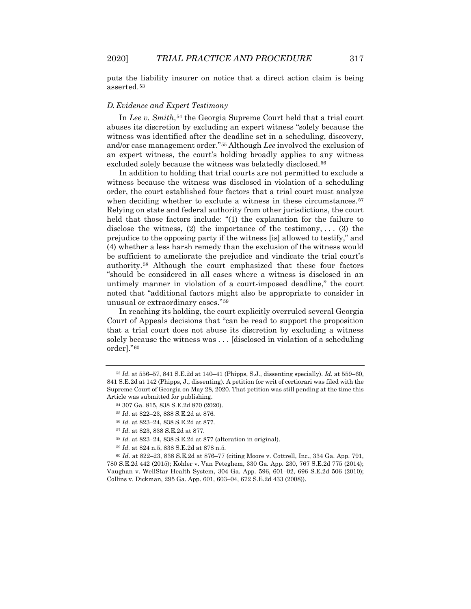puts the liability insurer on notice that a direct action claim is being asserted.[53](#page-8-0)

#### *D.Evidence and Expert Testimony*

In *Lee v. Smith*,<sup>[54](#page-8-1)</sup> the Georgia Supreme Court held that a trial court abuses its discretion by excluding an expert witness "solely because the witness was identified after the deadline set in a scheduling, discovery, and/or case management order."[55](#page-8-2) Although *Lee* involved the exclusion of an expert witness, the court's holding broadly applies to any witness excluded solely because the witness was belatedly disclosed.<sup>[56](#page-8-3)</sup>

In addition to holding that trial courts are not permitted to exclude a witness because the witness was disclosed in violation of a scheduling order, the court established four factors that a trial court must analyze when deciding whether to exclude a witness in these circumstances.<sup>[57](#page-8-4)</sup> Relying on state and federal authority from other jurisdictions, the court held that those factors include: "(1) the explanation for the failure to disclose the witness,  $(2)$  the importance of the testimony, ...  $(3)$  the prejudice to the opposing party if the witness [is] allowed to testify," and (4) whether a less harsh remedy than the exclusion of the witness would be sufficient to ameliorate the prejudice and vindicate the trial court's authority.[58](#page-8-5) Although the court emphasized that these four factors "should be considered in all cases where a witness is disclosed in an untimely manner in violation of a court-imposed deadline," the court noted that "additional factors might also be appropriate to consider in unusual or extraordinary cases."[59](#page-8-6)

In reaching its holding, the court explicitly overruled several Georgia Court of Appeals decisions that "can be read to support the proposition that a trial court does not abuse its discretion by excluding a witness solely because the witness was . . . [disclosed in violation of a scheduling order]."[60](#page-8-7)

<span id="page-8-2"></span><span id="page-8-1"></span><span id="page-8-0"></span><sup>53</sup> *Id.* at 556–57, 841 S.E.2d at 140–41 (Phipps, S.J., dissenting specially). *Id.* at 559–60, 841 S.E.2d at 142 (Phipps, J., dissenting). A petition for writ of certiorari was filed with the Supreme Court of Georgia on May 28, 2020. That petition was still pending at the time this Article was submitted for publishing.

<sup>54</sup> 307 Ga. 815, 838 S.E.2d 870 (2020).

<sup>55</sup> *Id*. at 822–23, 838 S.E.2d at 876.

<sup>56</sup> *Id.* at 823–24, 838 S.E.2d at 877.

<sup>57</sup> *Id.* at 823, 838 S.E.2d at 877.

<sup>58</sup> *Id.* at 823–24, 838 S.E.2d at 877 (alteration in original).

<sup>59</sup> *Id.* at 824 n.5, 838 S.E.2d at 878 n.5.

<span id="page-8-7"></span><span id="page-8-6"></span><span id="page-8-5"></span><span id="page-8-4"></span><span id="page-8-3"></span><sup>60</sup> *Id*. at 822–23, 838 S.E.2d at 876–77 (citing Moore v. Cottrell, Inc., 334 Ga. App. 791, 780 S.E.2d 442 (2015); Kohler v. Van Peteghem, 330 Ga. App. 230, 767 S.E.2d 775 (2014); Vaughan v. WellStar Health System, 304 Ga. App. 596, 601–02, 696 S.E.2d 506 (2010); Collins v. Dickman, 295 Ga. App. 601, 603–04, 672 S.E.2d 433 (2008)).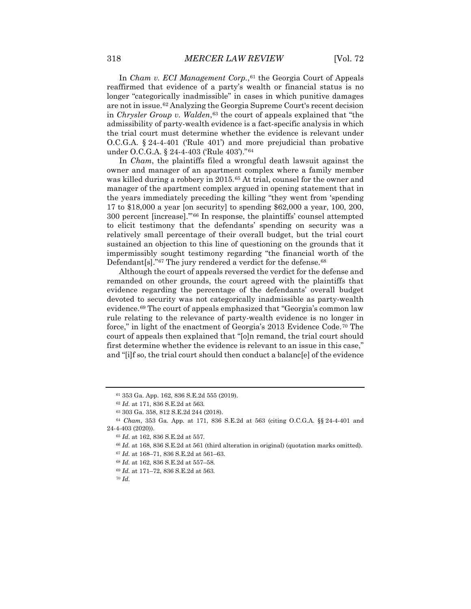In *Cham v. ECI Management Corp.*,<sup>[61](#page-9-0)</sup> the Georgia Court of Appeals reaffirmed that evidence of a party's wealth or financial status is no longer "categorically inadmissible" in cases in which punitive damages are not in issue.[62](#page-9-1) Analyzing the Georgia Supreme Court's recent decision in *Chrysler Group v. Walden*,<sup>[63](#page-9-2)</sup> the court of appeals explained that "the admissibility of party-wealth evidence is a fact-specific analysis in which the trial court must determine whether the evidence is relevant under O.C.G.A. § 24-4-401 ('Rule 401') and more prejudicial than probative under O.C.G.A. § 24-4-403 ('Rule 403')."<sup>[64](#page-9-3)</sup>

In *Cham*, the plaintiffs filed a wrongful death lawsuit against the owner and manager of an apartment complex where a family member was killed during a robbery in 2015.[65](#page-9-4) At trial, counsel for the owner and manager of the apartment complex argued in opening statement that in the years immediately preceding the killing "they went from 'spending 17 to \$18,000 a year [on security] to spending \$62,000 a year, 100, 200, 300 percent [increase].'"[66](#page-9-5) In response, the plaintiffs' counsel attempted to elicit testimony that the defendants' spending on security was a relatively small percentage of their overall budget, but the trial court sustained an objection to this line of questioning on the grounds that it impermissibly sought testimony regarding "the financial worth of the Defendant[s]."<sup>[67](#page-9-6)</sup> The jury rendered a verdict for the defense.<sup>[68](#page-9-7)</sup>

Although the court of appeals reversed the verdict for the defense and remanded on other grounds, the court agreed with the plaintiffs that evidence regarding the percentage of the defendants' overall budget devoted to security was not categorically inadmissible as party-wealth evidence.[69](#page-9-8) The court of appeals emphasized that "Georgia's common law rule relating to the relevance of party-wealth evidence is no longer in force," in light of the enactment of Georgia's 2013 Evidence Code.[70](#page-9-9) The court of appeals then explained that "[o]n remand, the trial court should first determine whether the evidence is relevant to an issue in this case," and "[i]f so, the trial court should then conduct a balanc[e] of the evidence

<sup>61</sup> 353 Ga. App. 162, 836 S.E.2d 555 (2019).

<sup>62</sup> *Id.* at 171, 836 S.E.2d at 563.

<sup>63</sup> 303 Ga. 358, 812 S.E.2d 244 (2018).

<span id="page-9-7"></span><span id="page-9-6"></span><span id="page-9-5"></span><span id="page-9-4"></span><span id="page-9-3"></span><span id="page-9-2"></span><span id="page-9-1"></span><span id="page-9-0"></span><sup>64</sup> *Cham*, 353 Ga. App. at 171, 836 S.E.2d at 563 (citing O.C.G.A. §§ 24-4-401 and 24-4-403 (2020)).

<sup>65</sup> *Id*. at 162, 836 S.E.2d at 557.

<sup>66</sup> *Id.* at 168, 836 S.E.2d at 561 (third alteration in original) (quotation marks omitted).

<sup>67</sup> *Id.* at 168–71, 836 S.E.2d at 561–63.

<sup>68</sup> *Id.* at 162, 836 S.E.2d at 557–58.

<sup>69</sup> *Id.* at 171–72, 836 S.E.2d at 563.

<span id="page-9-9"></span><span id="page-9-8"></span><sup>70</sup> *Id.*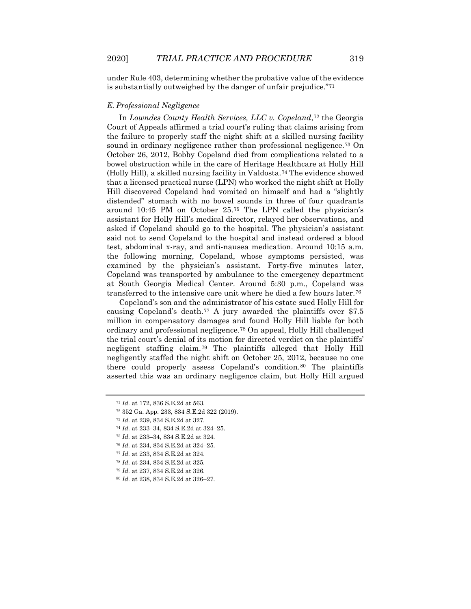under Rule 403, determining whether the probative value of the evidence is substantially outweighed by the danger of unfair prejudice."[71](#page-10-0)

#### *E. Professional Negligence*

In *Lowndes County Health Services, LLC v. Copeland*,[72](#page-10-1) the Georgia Court of Appeals affirmed a trial court's ruling that claims arising from the failure to properly staff the night shift at a skilled nursing facility sound in ordinary negligence rather than professional negligence.<sup>[73](#page-10-2)</sup> On October 26, 2012, Bobby Copeland died from complications related to a bowel obstruction while in the care of Heritage Healthcare at Holly Hill (Holly Hill), a skilled nursing facility in Valdosta.[74](#page-10-3) The evidence showed that a licensed practical nurse (LPN) who worked the night shift at Holly Hill discovered Copeland had vomited on himself and had a "slightly distended" stomach with no bowel sounds in three of four quadrants around 10:45 PM on October 25.[75](#page-10-4) The LPN called the physician's assistant for Holly Hill's medical director, relayed her observations, and asked if Copeland should go to the hospital. The physician's assistant said not to send Copeland to the hospital and instead ordered a blood test, abdominal x-ray, and anti-nausea medication. Around 10:15 a.m. the following morning, Copeland, whose symptoms persisted, was examined by the physician's assistant. Forty-five minutes later, Copeland was transported by ambulance to the emergency department at South Georgia Medical Center. Around 5:30 p.m., Copeland was transferred to the intensive care unit where he died a few hours later.[76](#page-10-5)

Copeland's son and the administrator of his estate sued Holly Hill for causing Copeland's death.<sup>[77](#page-10-6)</sup> A jury awarded the plaintiffs over  $$7.5$ million in compensatory damages and found Holly Hill liable for both ordinary and professional negligence.[78](#page-10-7) On appeal, Holly Hill challenged the trial court's denial of its motion for directed verdict on the plaintiffs' negligent staffing claim.[79](#page-10-8) The plaintiffs alleged that Holly Hill negligently staffed the night shift on October 25, 2012, because no one there could properly assess Copeland's condition.<sup>[80](#page-10-9)</sup> The plaintiffs asserted this was an ordinary negligence claim, but Holly Hill argued

- <span id="page-10-3"></span><sup>74</sup> *Id.* at 233–34, 834 S.E.2d at 324–25.
- <span id="page-10-4"></span><sup>75</sup> *Id.* at 233–34, 834 S.E.2d at 324.
- <span id="page-10-5"></span><sup>76</sup> *Id.* at 234, 834 S.E.2d at 324–25.
- <span id="page-10-7"></span><span id="page-10-6"></span><sup>77</sup> *Id.* at 233, 834 S.E.2d at 324.
- <sup>78</sup> *Id.* at 234, 834 S.E.2d at 325.
- <span id="page-10-8"></span><sup>79</sup> *Id.* at 237, 834 S.E.2d at 326.
- <span id="page-10-9"></span><sup>80</sup> *Id.* at 238, 834 S.E.2d at 326–27.

<span id="page-10-0"></span><sup>71</sup> *Id.* at 172, 836 S.E.2d at 563.

<span id="page-10-1"></span><sup>72</sup> 352 Ga. App. 233, 834 S.E.2d 322 (2019).

<span id="page-10-2"></span><sup>73</sup> *Id.* at 239, 834 S.E.2d at 327.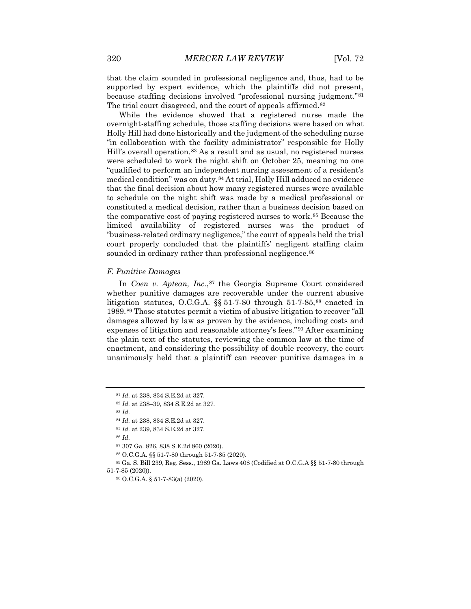that the claim sounded in professional negligence and, thus, had to be supported by expert evidence, which the plaintiffs did not present, because staffing decisions involved "professional nursing judgment."[81](#page-11-0) The trial court disagreed, and the court of appeals affirmed.<sup>[82](#page-11-1)</sup>

While the evidence showed that a registered nurse made the overnight-staffing schedule, those staffing decisions were based on what Holly Hill had done historically and the judgment of the scheduling nurse "in collaboration with the facility administrator" responsible for Holly Hill's overall operation.<sup>[83](#page-11-2)</sup> As a result and as usual, no registered nurses were scheduled to work the night shift on October 25, meaning no one "qualified to perform an independent nursing assessment of a resident's medical condition" was on duty.[84](#page-11-3) At trial, Holly Hill adduced no evidence that the final decision about how many registered nurses were available to schedule on the night shift was made by a medical professional or constituted a medical decision, rather than a business decision based on the comparative cost of paying registered nurses to work.[85](#page-11-4) Because the limited availability of registered nurses was the product of "business-related ordinary negligence," the court of appeals held the trial court properly concluded that the plaintiffs' negligent staffing claim sounded in ordinary rather than professional negligence.<sup>[86](#page-11-5)</sup>

#### *F. Punitive Damages*

In *Coen v. Aptean, Inc.*,<sup>[87](#page-11-6)</sup> the Georgia Supreme Court considered whether punitive damages are recoverable under the current abusive litigation statutes, O.C.G.A.  $\S$  51-7-80 through 51-7-85,<sup>[88](#page-11-7)</sup> enacted in 1989.[89](#page-11-8) Those statutes permit a victim of abusive litigation to recover "all damages allowed by law as proven by the evidence, including costs and expenses of litigation and reasonable attorney's fees."[90](#page-11-9) After examining the plain text of the statutes, reviewing the common law at the time of enactment, and considering the possibility of double recovery, the court unanimously held that a plaintiff can recover punitive damages in a

<sup>83</sup> *Id.*

<sup>86</sup> *Id.*

<sup>87</sup> 307 Ga. 826, 838 S.E.2d 860 (2020).

<sup>88</sup> O.C.G.A. §§ 51-7-80 through 51-7-85 (2020).

<span id="page-11-9"></span><span id="page-11-8"></span><span id="page-11-7"></span><span id="page-11-6"></span><span id="page-11-5"></span><span id="page-11-4"></span><sup>89</sup> Ga. S. Bill 239, Reg. Sess., 1989 Ga. Laws 408 (Codified at O.C.G.A §§ 51-7-80 through 51-7-85 (2020)).

<sup>90</sup> O.C.G.A. § 51-7-83(a) (2020).

<sup>81</sup> *Id.* at 238, 834 S.E.2d at 327.

<span id="page-11-2"></span><span id="page-11-1"></span><span id="page-11-0"></span><sup>82</sup> *Id.* at 238–39, 834 S.E.2d at 327.

<sup>84</sup> *Id.* at 238, 834 S.E.2d at 327.

<span id="page-11-3"></span><sup>85</sup> *Id.* at 239, 834 S.E.2d at 327.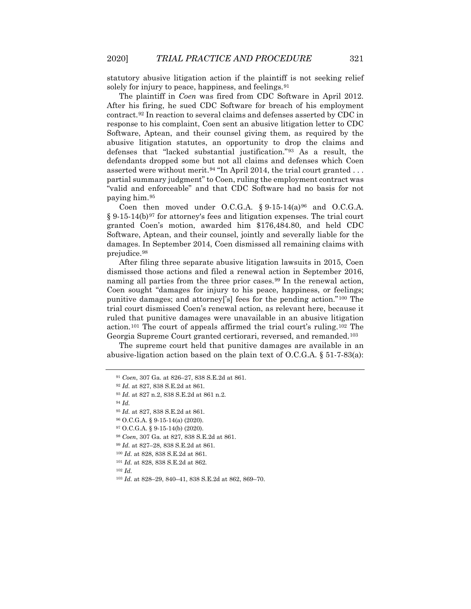statutory abusive litigation action if the plaintiff is not seeking relief solely for injury to peace, happiness, and feelings.<sup>[91](#page-12-0)</sup>

The plaintiff in *Coen* was fired from CDC Software in April 2012. After his firing, he sued CDC Software for breach of his employment contract.[92](#page-12-1) In reaction to several claims and defenses asserted by CDC in response to his complaint, Coen sent an abusive litigation letter to CDC Software, Aptean, and their counsel giving them, as required by the abusive litigation statutes, an opportunity to drop the claims and defenses that "lacked substantial justification."[93](#page-12-2) As a result, the defendants dropped some but not all claims and defenses which Coen asserted were without merit.<sup>[94](#page-12-3)</sup> "In April 2014, the trial court granted  $\dots$ partial summary judgment" to Coen, ruling the employment contract was "valid and enforceable" and that CDC Software had no basis for not paying him.[95](#page-12-4)

Coen then moved under O.C.G.A.  $§ 9-15-14(a)$ <sup>[96](#page-12-5)</sup> and O.C.G.A.  $\S 9-15-14(b)$ <sup>[97](#page-12-6)</sup> for attorney's fees and litigation expenses. The trial court granted Coen's motion, awarded him \$176,484.80, and held CDC Software, Aptean, and their counsel, jointly and severally liable for the damages. In September 2014, Coen dismissed all remaining claims with prejudice.[98](#page-12-7)

After filing three separate abusive litigation lawsuits in 2015, Coen dismissed those actions and filed a renewal action in September 2016, naming all parties from the three prior cases.<sup>[99](#page-12-8)</sup> In the renewal action, Coen sought "damages for injury to his peace, happiness, or feelings; punitive damages; and attorney['s] fees for the pending action."[100](#page-12-9) The trial court dismissed Coen's renewal action, as relevant here, because it ruled that punitive damages were unavailable in an abusive litigation action.[101](#page-12-10) The court of appeals affirmed the trial court's ruling.[102](#page-12-11) The Georgia Supreme Court granted certiorari, reversed, and remanded.[103](#page-12-12)

<span id="page-12-0"></span>The supreme court held that punitive damages are available in an abusive-ligation action based on the plain text of O.C.G.A. § 51-7-83(a):

<span id="page-12-12"></span><span id="page-12-11"></span><span id="page-12-10"></span><sup>102</sup> *Id.*

<sup>91</sup> *Coen*, 307 Ga. at 826–27, 838 S.E.2d at 861.

<span id="page-12-3"></span><span id="page-12-2"></span><span id="page-12-1"></span><sup>92</sup> *Id.* at 827, 838 S.E.2d at 861.

<sup>93</sup> *Id.* at 827 n.2, 838 S.E.2d at 861 n.2.

<sup>94</sup> *Id.*

<span id="page-12-4"></span><sup>95</sup> *Id.* at 827, 838 S.E.2d at 861.

<span id="page-12-6"></span><span id="page-12-5"></span><sup>96</sup> O.C.G.A. § 9-15-14(a) (2020).

<sup>97</sup> O.C.G.A. § 9-15-14(b) (2020).

<span id="page-12-7"></span><sup>98</sup> *Coen*, 307 Ga. at 827, 838 S.E.2d at 861.

<span id="page-12-9"></span><span id="page-12-8"></span><sup>99</sup> *Id.* at 827–28, 838 S.E.2d at 861.

<sup>100</sup> *Id.* at 828, 838 S.E.2d at 861.

<sup>101</sup> *Id.* at 828, 838 S.E.2d at 862.

<sup>103</sup> *Id.* at 828–29, 840–41, 838 S.E.2d at 862, 869–70.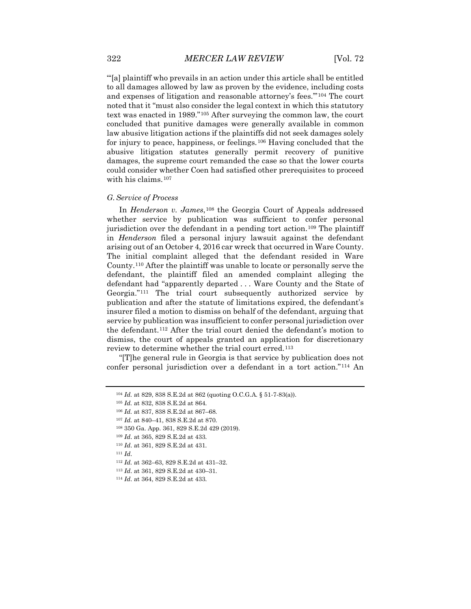"'[a] plaintiff who prevails in an action under this article shall be entitled to all damages allowed by law as proven by the evidence, including costs and expenses of litigation and reasonable attorney's fees.'"[104](#page-13-0) The court noted that it "must also consider the legal context in which this statutory text was enacted in 1989."[105](#page-13-1) After surveying the common law, the court concluded that punitive damages were generally available in common law abusive litigation actions if the plaintiffs did not seek damages solely for injury to peace, happiness, or feelings.[106](#page-13-2) Having concluded that the abusive litigation statutes generally permit recovery of punitive damages, the supreme court remanded the case so that the lower courts could consider whether Coen had satisfied other prerequisites to proceed with his claims.<sup>[107](#page-13-3)</sup>

#### *G.Service of Process*

In *Henderson v. James*,[108](#page-13-4) the Georgia Court of Appeals addressed whether service by publication was sufficient to confer personal jurisdiction over the defendant in a pending tort action.<sup>[109](#page-13-5)</sup> The plaintiff in *Henderson* filed a personal injury lawsuit against the defendant arising out of an October 4, 2016 car wreck that occurred in Ware County. The initial complaint alleged that the defendant resided in Ware County.[110](#page-13-6) After the plaintiff was unable to locate or personally serve the defendant, the plaintiff filed an amended complaint alleging the defendant had "apparently departed . . . Ware County and the State of Georgia."[111](#page-13-7) The trial court subsequently authorized service by publication and after the statute of limitations expired, the defendant's insurer filed a motion to dismiss on behalf of the defendant, arguing that service by publication was insufficient to confer personal jurisdiction over the defendant.[112](#page-13-8) After the trial court denied the defendant's motion to dismiss, the court of appeals granted an application for discretionary review to determine whether the trial court erred.<sup>[113](#page-13-9)</sup>

<span id="page-13-1"></span><span id="page-13-0"></span>"[T]he general rule in Georgia is that service by publication does not confer personal jurisdiction over a defendant in a tort action."[114](#page-13-10) An

<sup>104</sup> *Id.* at 829, 838 S.E.2d at 862 (quoting O.C.G.A. § 51-7-83(a)).

<sup>105</sup> *Id.* at 832, 838 S.E.2d at 864.

<span id="page-13-2"></span><sup>106</sup> *Id.* at 837, 838 S.E.2d at 867–68.

<span id="page-13-3"></span><sup>107</sup> *Id.* at 840–41, 838 S.E.2d at 870.

<span id="page-13-4"></span><sup>108</sup> 350 Ga. App. 361, 829 S.E.2d 429 (2019).

<span id="page-13-5"></span><sup>109</sup> *Id*. at 365, 829 S.E.2d at 433.

<span id="page-13-6"></span><sup>110</sup> *Id*. at 361, 829 S.E.2d at 431.

<span id="page-13-7"></span><sup>111</sup> *Id*.

<span id="page-13-8"></span><sup>112</sup> *Id.* at 362–63, 829 S.E.2d at 431–32.

<span id="page-13-9"></span><sup>113</sup> *Id*. at 361, 829 S.E.2d at 430–31.

<span id="page-13-10"></span><sup>114</sup> *Id*. at 364, 829 S.E.2d at 433.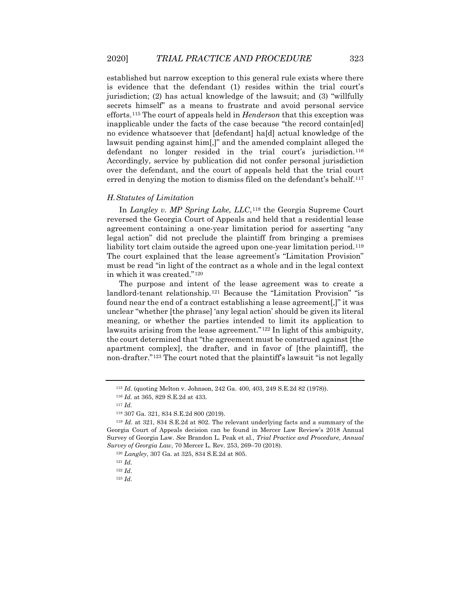established but narrow exception to this general rule exists where there is evidence that the defendant (1) resides within the trial court's jurisdiction; (2) has actual knowledge of the lawsuit; and (3) "willfully secrets himself" as a means to frustrate and avoid personal service efforts.[115](#page-14-0) The court of appeals held in *Henderson* that this exception was inapplicable under the facts of the case because "the record contain[ed] no evidence whatsoever that [defendant] ha[d] actual knowledge of the lawsuit pending against him[,]" and the amended complaint alleged the defendant no longer resided in the trial court's jurisdiction.[116](#page-14-1) Accordingly, service by publication did not confer personal jurisdiction over the defendant, and the court of appeals held that the trial court erred in denying the motion to dismiss filed on the defendant's behalf.<sup>[117](#page-14-2)</sup>

#### *H.Statutes of Limitation*

In *Langley v. MP Spring Lake, LLC*,<sup>[118](#page-14-3)</sup> the Georgia Supreme Court reversed the Georgia Court of Appeals and held that a residential lease agreement containing a one-year limitation period for asserting "any legal action" did not preclude the plaintiff from bringing a premises liability tort claim outside the agreed upon one-year limitation period.<sup>[119](#page-14-4)</sup> The court explained that the lease agreement's "Limitation Provision" must be read "in light of the contract as a whole and in the legal context in which it was created."[120](#page-14-5)

The purpose and intent of the lease agreement was to create a landlord-tenant relationship.[121](#page-14-6) Because the "Limitation Provision" "is found near the end of a contract establishing a lease agreement[,]" it was unclear "whether [the phrase] 'any legal action' should be given its literal meaning, or whether the parties intended to limit its application to lawsuits arising from the lease agreement."<sup>[122](#page-14-7)</sup> In light of this ambiguity, the court determined that "the agreement must be construed against [the apartment complex], the drafter, and in favor of [the plaintiff], the non-drafter."[123](#page-14-8) The court noted that the plaintiff's lawsuit "is not legally

<sup>115</sup> *Id*. (quoting Melton v. Johnson, 242 Ga. 400, 403, 249 S.E.2d 82 (1978)).

<sup>116</sup> *Id.* at 365, 829 S.E.2d at 433.

<sup>117</sup> *Id.*

<sup>118</sup> 307 Ga. 321, 834 S.E.2d 800 (2019).

<span id="page-14-6"></span><span id="page-14-5"></span><span id="page-14-4"></span><span id="page-14-3"></span><span id="page-14-2"></span><span id="page-14-1"></span><span id="page-14-0"></span><sup>119</sup> *Id*. at 321, 834 S.E.2d at 802. The relevant underlying facts and a summary of the Georgia Court of Appeals decision can be found in Mercer Law Review's 2018 Annual Survey of Georgia Law. *See* Brandon L. Peak et al., *Trial Practice and Procedure, Annual Survey of Georgia Law*, 70 Mercer L. Rev. 253, 269–70 (2018).

<sup>120</sup> *Langley*, 307 Ga. at 325, 834 S.E.2d at 805.

<sup>121</sup> *Id*.

<span id="page-14-8"></span><span id="page-14-7"></span><sup>122</sup> *Id*.

<sup>123</sup> *Id*.